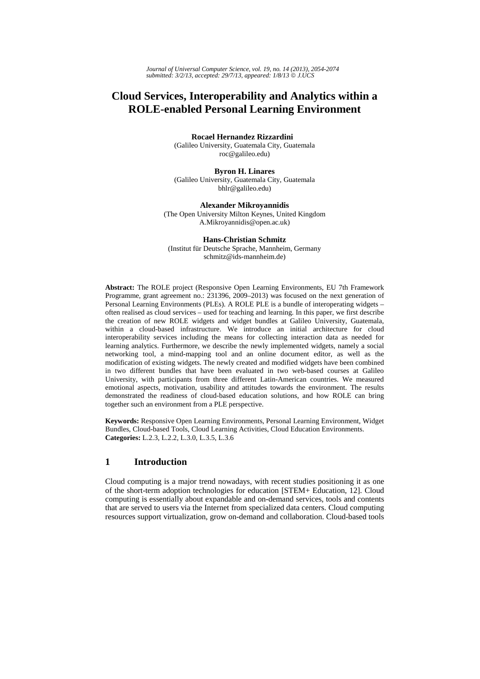# **Cloud Services, Interoperability and Analytics within a ROLE-enabled Personal Learning Environment**

**Rocael Hernandez Rizzardini** 

(Galileo University, Guatemala City, Guatemala roc@galileo.edu)

**Byron H. Linares** (Galileo University, Guatemala City, Guatemala bhlr@galileo.edu)

**Alexander Mikroyannidis** (The Open University Milton Keynes, United Kingdom A.Mikroyannidis@open.ac.uk)

**Hans-Christian Schmitz** (Institut für Deutsche Sprache, Mannheim, Germany schmitz@ids-mannheim.de)

**Abstract:** The ROLE project (Responsive Open Learning Environments, EU 7th Framework Programme, grant agreement no.: 231396, 2009–2013) was focused on the next generation of Personal Learning Environments (PLEs). A ROLE PLE is a bundle of interoperating widgets – often realised as cloud services – used for teaching and learning. In this paper, we first describe the creation of new ROLE widgets and widget bundles at Galileo University, Guatemala, within a cloud-based infrastructure. We introduce an initial architecture for cloud interoperability services including the means for collecting interaction data as needed for learning analytics. Furthermore, we describe the newly implemented widgets, namely a social networking tool, a mind-mapping tool and an online document editor, as well as the modification of existing widgets. The newly created and modified widgets have been combined in two different bundles that have been evaluated in two web-based courses at Galileo University, with participants from three different Latin-American countries. We measured emotional aspects, motivation, usability and attitudes towards the environment. The results demonstrated the readiness of cloud-based education solutions, and how ROLE can bring together such an environment from a PLE perspective.

**Keywords:** Responsive Open Learning Environments, Personal Learning Environment, Widget Bundles, Cloud-based Tools, Cloud Learning Activities, Cloud Education Environments. **Categories:** L.2.3, L.2.2, L.3.0, L.3.5, L.3.6

# **1 Introduction**

Cloud computing is a major trend nowadays, with recent studies positioning it as one of the short-term adoption technologies for education [STEM+ Education, 12]. Cloud computing is essentially about expandable and on-demand services, tools and contents that are served to users via the Internet from specialized data centers. Cloud computing resources support virtualization, grow on-demand and collaboration. Cloud-based tools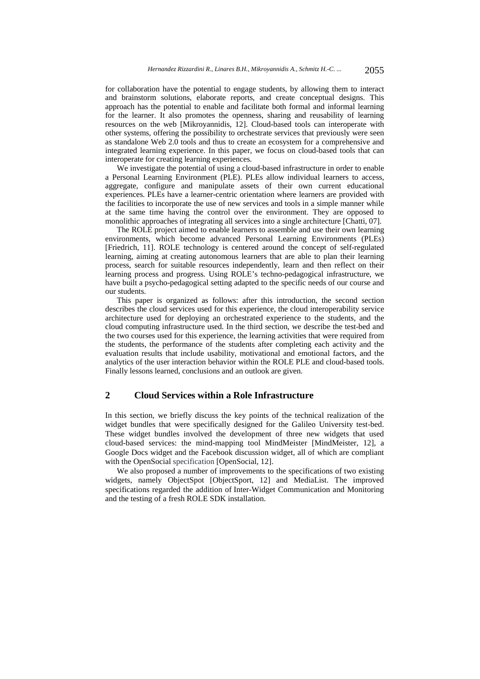for collaboration have the potential to engage students, by allowing them to interact and brainstorm solutions, elaborate reports, and create conceptual designs. This approach has the potential to enable and facilitate both formal and informal learning for the learner. It also promotes the openness, sharing and reusability of learning resources on the web [Mikroyannidis, 12]. Cloud-based tools can interoperate with other systems, offering the possibility to orchestrate services that previously were seen as standalone Web 2.0 tools and thus to create an ecosystem for a comprehensive and integrated learning experience. In this paper, we focus on cloud-based tools that can interoperate for creating learning experiences.

We investigate the potential of using a cloud-based infrastructure in order to enable a Personal Learning Environment (PLE). PLEs allow individual learners to access, aggregate, configure and manipulate assets of their own current educational experiences. PLEs have a learner-centric orientation where learners are provided with the facilities to incorporate the use of new services and tools in a simple manner while at the same time having the control over the environment. They are opposed to monolithic approaches of integrating all services into a single architecture [Chatti, 07].

The ROLE project aimed to enable learners to assemble and use their own learning environments, which become advanced Personal Learning Environments (PLEs) [Friedrich, 11]. ROLE technology is centered around the concept of self-regulated learning, aiming at creating autonomous learners that are able to plan their learning process, search for suitable resources independently, learn and then reflect on their learning process and progress. Using ROLE's techno-pedagogical infrastructure, we have built a psycho-pedagogical setting adapted to the specific needs of our course and our students.

This paper is organized as follows: after this introduction, the second section describes the cloud services used for this experience, the cloud interoperability service architecture used for deploying an orchestrated experience to the students, and the cloud computing infrastructure used. In the third section, we describe the test-bed and the two courses used for this experience, the learning activities that were required from the students, the performance of the students after completing each activity and the evaluation results that include usability, motivational and emotional factors, and the analytics of the user interaction behavior within the ROLE PLE and cloud-based tools. Finally lessons learned, conclusions and an outlook are given.

# **2 Cloud Services within a Role Infrastructure**

In this section, we briefly discuss the key points of the technical realization of the widget bundles that were specifically designed for the Galileo University test-bed. These widget bundles involved the development of three new widgets that used cloud-based services: the mind-mapping tool MindMeister [MindMeister, 12], a Google Docs widget and the Facebook discussion widget, all of which are compliant with the OpenSocial specification [OpenSocial, 12].

We also proposed a number of improvements to the specifications of two existing widgets, namely ObjectSpot [ObjectSport, 12] and MediaList. The improved specifications regarded the addition of Inter-Widget Communication and Monitoring and the testing of a fresh ROLE SDK installation.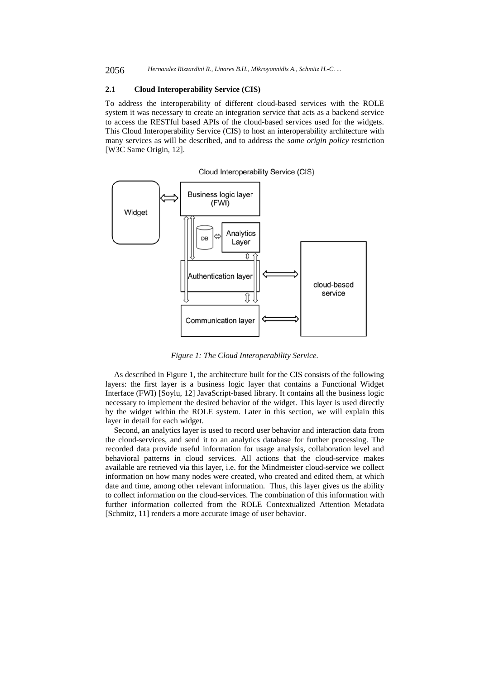#### **2.1 Cloud Interoperability Service (CIS)**

To address the interoperability of different cloud-based services with the ROLE system it was necessary to create an integration service that acts as a backend service to access the RESTful based APIs of the cloud-based services used for the widgets. This Cloud Interoperability Service (CIS) to host an interoperability architecture with many services as will be described, and to address the *same origin policy* restriction [W3C Same Origin, 12].

Cloud Interoperability Service (CIS)



*Figure 1: The Cloud Interoperability Service.* 

As described in Figure 1, the architecture built for the CIS consists of the following layers: the first layer is a business logic layer that contains a Functional Widget Interface (FWI) [Soylu, 12] JavaScript-based library. It contains all the business logic necessary to implement the desired behavior of the widget. This layer is used directly by the widget within the ROLE system. Later in this section, we will explain this layer in detail for each widget.

Second, an analytics layer is used to record user behavior and interaction data from the cloud-services, and send it to an analytics database for further processing. The recorded data provide useful information for usage analysis, collaboration level and behavioral patterns in cloud services. All actions that the cloud-service makes available are retrieved via this layer, i.e. for the Mindmeister cloud-service we collect information on how many nodes were created, who created and edited them, at which date and time, among other relevant information. Thus, this layer gives us the ability to collect information on the cloud-services. The combination of this information with further information collected from the ROLE Contextualized Attention Metadata [Schmitz, 11] renders a more accurate image of user behavior.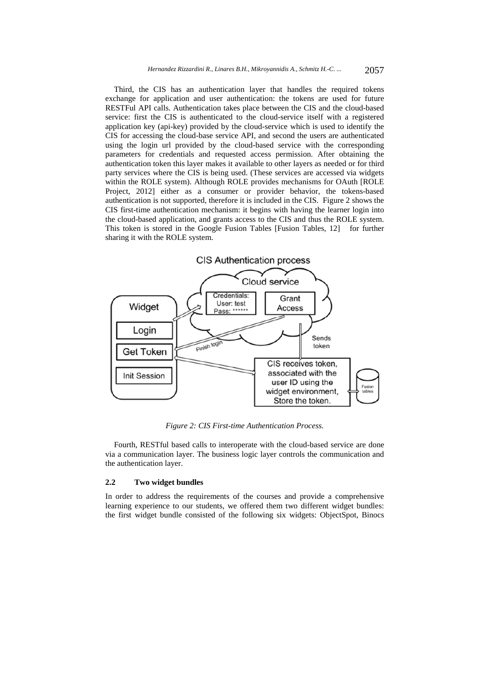Third, the CIS has an authentication layer that handles the required tokens exchange for application and user authentication: the tokens are used for future RESTFul API calls. Authentication takes place between the CIS and the cloud-based service: first the CIS is authenticated to the cloud-service itself with a registered application key (api-key) provided by the cloud-service which is used to identify the CIS for accessing the cloud-base service API, and second the users are authenticated using the login url provided by the cloud-based service with the corresponding parameters for credentials and requested access permission. After obtaining the authentication token this layer makes it available to other layers as needed or for third party services where the CIS is being used. (These services are accessed via widgets within the ROLE system). Although ROLE provides mechanisms for OAuth [ROLE Project, 2012] either as a consumer or provider behavior, the tokens-based authentication is not supported, therefore it is included in the CIS. Figure 2 shows the CIS first-time authentication mechanism: it begins with having the learner login into the cloud-based application, and grants access to the CIS and thus the ROLE system. This token is stored in the Google Fusion Tables [Fusion Tables, 12] for further sharing it with the ROLE system.



*Figure 2: CIS First-time Authentication Process.* 

Fourth, RESTful based calls to interoperate with the cloud-based service are done via a communication layer. The business logic layer controls the communication and the authentication layer.

#### **2.2 Two widget bundles**

In order to address the requirements of the courses and provide a comprehensive learning experience to our students, we offered them two different widget bundles: the first widget bundle consisted of the following six widgets: ObjectSpot, Binocs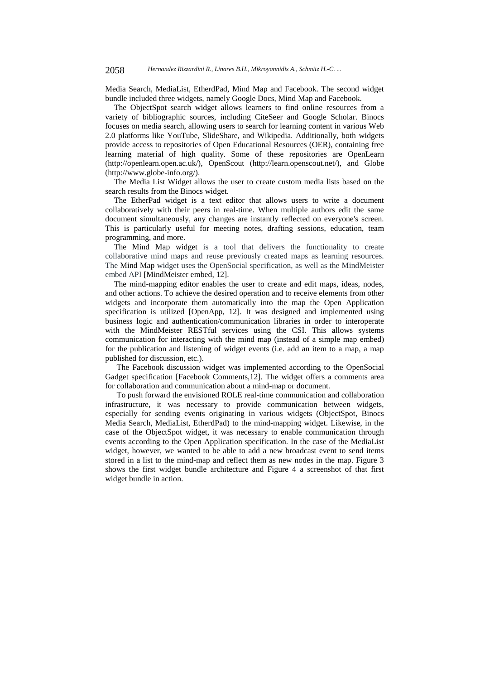Media Search, MediaList, EtherdPad, Mind Map and Facebook. The second widget bundle included three widgets, namely Google Docs, Mind Map and Facebook.

The ObjectSpot search widget allows learners to find online resources from a variety of bibliographic sources, including CiteSeer and Google Scholar. Binocs focuses on media search, allowing users to search for learning content in various Web 2.0 platforms like YouTube, SlideShare, and Wikipedia. Additionally, both widgets provide access to repositories of Open Educational Resources (OER), containing free learning material of high quality. Some of these repositories are OpenLearn (http://openlearn.open.ac.uk/), OpenScout (http://learn.openscout.net/), and Globe (http://www.globe-info.org/).

The Media List Widget allows the user to create custom media lists based on the search results from the Binocs widget.

The EtherPad widget is a text editor that allows users to write a document collaboratively with their peers in real-time. When multiple authors edit the same document simultaneously, any changes are instantly reflected on everyone's screen. This is particularly useful for meeting notes, drafting sessions, education, team programming, and more.

The Mind Map widget is a tool that delivers the functionality to create collaborative mind maps and reuse previously created maps as learning resources. The Mind Map widget uses the OpenSocial specification, as well as the MindMeister embed API [MindMeister embed, 12].

The mind-mapping editor enables the user to create and edit maps, ideas, nodes, and other actions. To achieve the desired operation and to receive elements from other widgets and incorporate them automatically into the map the Open Application specification is utilized [OpenApp, 12]. It was designed and implemented using business logic and authentication/communication libraries in order to interoperate with the MindMeister RESTful services using the CSI. This allows systems communication for interacting with the mind map (instead of a simple map embed) for the publication and listening of widget events (i.e. add an item to a map, a map published for discussion, etc.).

The Facebook discussion widget was implemented according to the OpenSocial Gadget specification [Facebook Comments,12]. The widget offers a comments area for collaboration and communication about a mind-map or document.

To push forward the envisioned ROLE real-time communication and collaboration infrastructure, it was necessary to provide communication between widgets, especially for sending events originating in various widgets (ObjectSpot, Binocs Media Search, MediaList, EtherdPad) to the mind-mapping widget. Likewise, in the case of the ObjectSpot widget, it was necessary to enable communication through events according to the Open Application specification. In the case of the MediaList widget, however, we wanted to be able to add a new broadcast event to send items stored in a list to the mind-map and reflect them as new nodes in the map. Figure 3 shows the first widget bundle architecture and Figure 4 a screenshot of that first widget bundle in action.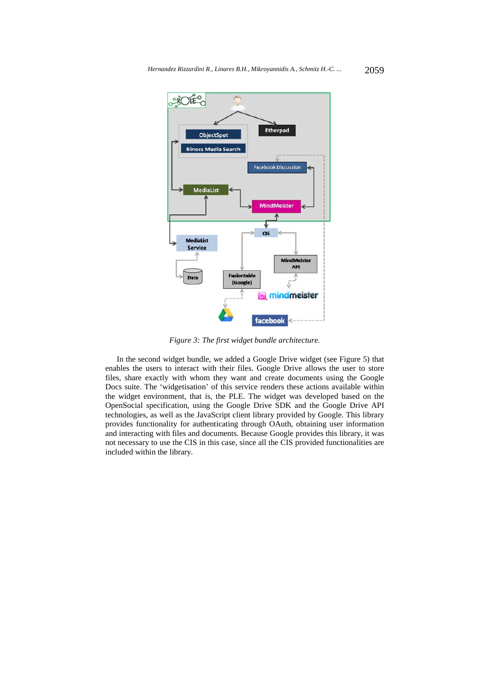

*Figure 3: The first widget bundle architecture.* 

In the second widget bundle, we added a Google Drive widget (see Figure 5) that enables the users to interact with their files. Google Drive allows the user to store files, share exactly with whom they want and create documents using the Google Docs suite. The 'widgetisation' of this service renders these actions available within the widget environment, that is, the PLE. The widget was developed based on the OpenSocial specification, using the Google Drive SDK and the Google Drive API technologies, as well as the JavaScript client library provided by Google. This library provides functionality for authenticating through OAuth, obtaining user information and interacting with files and documents. Because Google provides this library, it was not necessary to use the CIS in this case, since all the CIS provided functionalities are included within the library.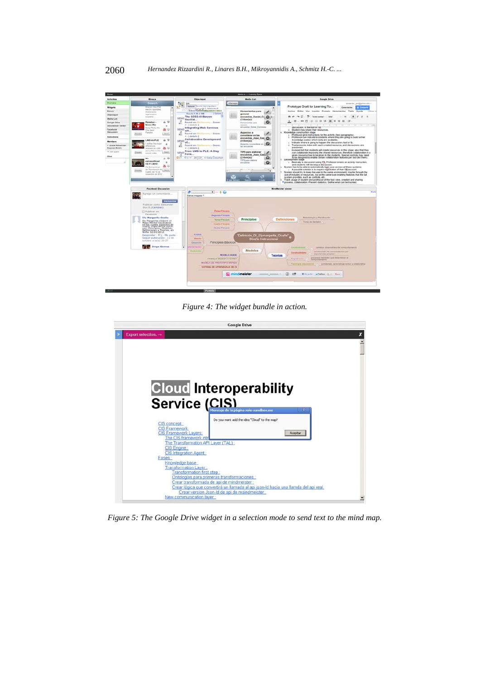

*Figure 4: The widget bundle in action.*



*Figure 5: The Google Drive widget in a selection mode to send text to the mind map.*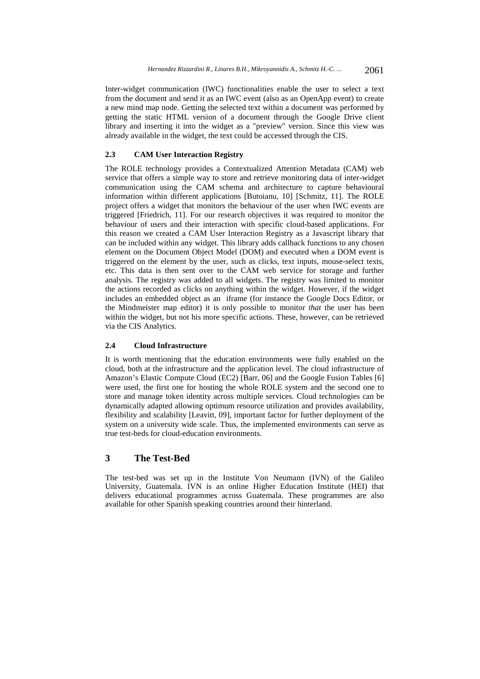Inter-widget communication (IWC) functionalities enable the user to select a text from the document and send it as an IWC event (also as an OpenApp event) to create a new mind map node. Getting the selected text within a document was performed by getting the static HTML version of a document through the Google Drive client library and inserting it into the widget as a "preview" version. Since this view was already available in the widget, the text could be accessed through the CIS.

## **2.3 CAM User Interaction Registry**

The ROLE technology provides a Contextualized Attention Metadata (CAM) web service that offers a simple way to store and retrieve monitoring data of inter-widget communication using the CAM schema and architecture to capture behavioural information within different applications [Butoianu, 10] [Schmitz, 11]. The ROLE project offers a widget that monitors the behaviour of the user when IWC events are triggered [Friedrich, 11]. For our research objectives it was required to monitor the behaviour of users and their interaction with specific cloud-based applications. For this reason we created a CAM User Interaction Registry as a Javascript library that can be included within any widget. This library adds callback functions to any chosen element on the Document Object Model (DOM) and executed when a DOM event is triggered on the element by the user, such as clicks, text inputs, mouse-select texts, etc. This data is then sent over to the CAM web service for storage and further analysis. The registry was added to all widgets. The registry was limited to monitor the actions recorded as clicks on anything within the widget. However, if the widget includes an embedded object as an iframe (for instance the Google Docs Editor, or the Mindmeister map editor) it is only possible to monitor *that* the user has been within the widget, but not his more specific actions. These, however, can be retrieved via the CIS Analytics.

#### **2.4 Cloud Infrastructure**

It is worth mentioning that the education environments were fully enabled on the cloud, both at the infrastructure and the application level. The cloud infrastructure of Amazon's Elastic Compute Cloud (EC2) [Barr, 06] and the Google Fusion Tables [6] were used, the first one for hosting the whole ROLE system and the second one to store and manage token identity across multiple services. Cloud technologies can be dynamically adapted allowing optimum resource utilization and provides availability, flexibility and scalability [Leavitt, 09], important factor for further deployment of the system on a university wide scale. Thus, the implemented environments can serve as true test-beds for cloud-education environments.

# **3 The Test-Bed**

The test-bed was set up in the Institute Von Neumann (IVN) of the Galileo University, Guatemala. IVN is an online Higher Education Institute (HEI) that delivers educational programmes across Guatemala. These programmes are also available for other Spanish speaking countries around their hinterland.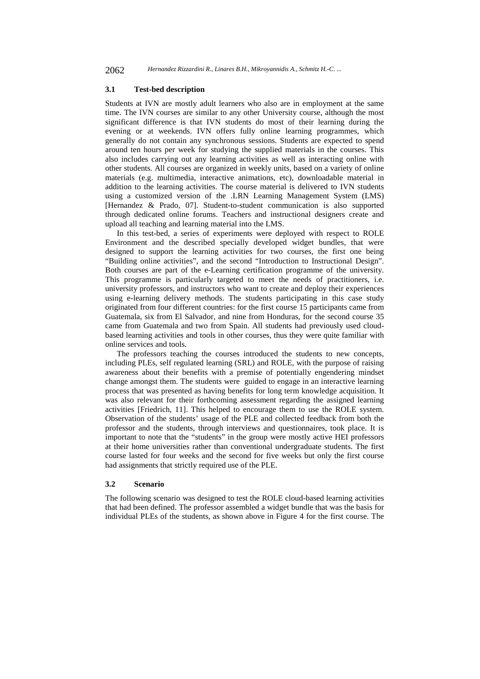2062 *Hernandez Rizzardini R., Linares B.H., Mikroyannidis A., Schmitz H.-C. ...*

#### **3.1 Test-bed description**

Students at IVN are mostly adult learners who also are in employment at the same time. The IVN courses are similar to any other University course, although the most significant difference is that IVN students do most of their learning during the evening or at weekends. IVN offers fully online learning programmes, which generally do not contain any synchronous sessions. Students are expected to spend around ten hours per week for studying the supplied materials in the courses. This also includes carrying out any learning activities as well as interacting online with other students. All courses are organized in weekly units, based on a variety of online materials (e.g. multimedia, interactive animations, etc), downloadable material in addition to the learning activities. The course material is delivered to IVN students using a customized version of the .LRN Learning Management System (LMS) [Hernandez & Prado, 07]. Student-to-student communication is also supported through dedicated online forums. Teachers and instructional designers create and upload all teaching and learning material into the LMS.

In this test-bed, a series of experiments were deployed with respect to ROLE Environment and the described specially developed widget bundles, that were designed to support the learning activities for two courses, the first one being "Building online activities", and the second "Introduction to Instructional Design". Both courses are part of the e-Learning certification programme of the university. This programme is particularly targeted to meet the needs of practitioners, i.e. university professors, and instructors who want to create and deploy their experiences using e-learning delivery methods. The students participating in this case study originated from four different countries: for the first course 15 participants came from Guatemala, six from El Salvador, and nine from Honduras, for the second course 35 came from Guatemala and two from Spain. All students had previously used cloudbased learning activities and tools in other courses, thus they were quite familiar with online services and tools.

The professors teaching the courses introduced the students to new concepts, including PLEs, self regulated learning (SRL) and ROLE, with the purpose of raising awareness about their benefits with a premise of potentially engendering mindset change amongst them. The students were guided to engage in an interactive learning process that was presented as having benefits for long term knowledge acquisition. It was also relevant for their forthcoming assessment regarding the assigned learning activities [Friedrich, 11]. This helped to encourage them to use the ROLE system. Observation of the students' usage of the PLE and collected feedback from both the professor and the students, through interviews and questionnaires, took place. It is important to note that the "students" in the group were mostly active HEI professors at their home universities rather than conventional undergraduate students. The first course lasted for four weeks and the second for five weeks but only the first course had assignments that strictly required use of the PLE.

#### **3.2 Scenario**

The following scenario was designed to test the ROLE cloud-based learning activities that had been defined. The professor assembled a widget bundle that was the basis for individual PLEs of the students, as shown above in Figure 4 for the first course. The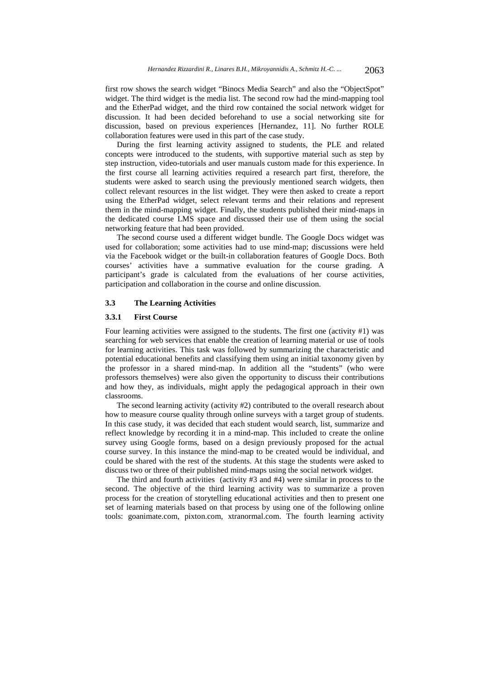first row shows the search widget "Binocs Media Search" and also the "ObjectSpot" widget. The third widget is the media list. The second row had the mind-mapping tool and the EtherPad widget, and the third row contained the social network widget for discussion. It had been decided beforehand to use a social networking site for discussion, based on previous experiences [Hernandez, 11]. No further ROLE collaboration features were used in this part of the case study.

During the first learning activity assigned to students, the PLE and related concepts were introduced to the students, with supportive material such as step by step instruction, video-tutorials and user manuals custom made for this experience. In the first course all learning activities required a research part first, therefore, the students were asked to search using the previously mentioned search widgets, then collect relevant resources in the list widget. They were then asked to create a report using the EtherPad widget, select relevant terms and their relations and represent them in the mind-mapping widget. Finally, the students published their mind-maps in the dedicated course LMS space and discussed their use of them using the social networking feature that had been provided.

The second course used a different widget bundle. The Google Docs widget was used for collaboration; some activities had to use mind-map; discussions were held via the Facebook widget or the built-in collaboration features of Google Docs. Both courses' activities have a summative evaluation for the course grading. A participant's grade is calculated from the evaluations of her course activities, participation and collaboration in the course and online discussion.

#### **3.3 The Learning Activities**

### **3.3.1 First Course**

Four learning activities were assigned to the students. The first one (activity #1) was searching for web services that enable the creation of learning material or use of tools for learning activities. This task was followed by summarizing the characteristic and potential educational benefits and classifying them using an initial taxonomy given by the professor in a shared mind-map. In addition all the "students" (who were professors themselves) were also given the opportunity to discuss their contributions and how they, as individuals, might apply the pedagogical approach in their own classrooms.

The second learning activity (activity #2) contributed to the overall research about how to measure course quality through online surveys with a target group of students. In this case study, it was decided that each student would search, list, summarize and reflect knowledge by recording it in a mind-map. This included to create the online survey using Google forms, based on a design previously proposed for the actual course survey. In this instance the mind-map to be created would be individual, and could be shared with the rest of the students. At this stage the students were asked to discuss two or three of their published mind-maps using the social network widget.

The third and fourth activities (activity #3 and #4) were similar in process to the second. The objective of the third learning activity was to summarize a proven process for the creation of storytelling educational activities and then to present one set of learning materials based on that process by using one of the following online tools: goanimate.com, pixton.com, xtranormal.com. The fourth learning activity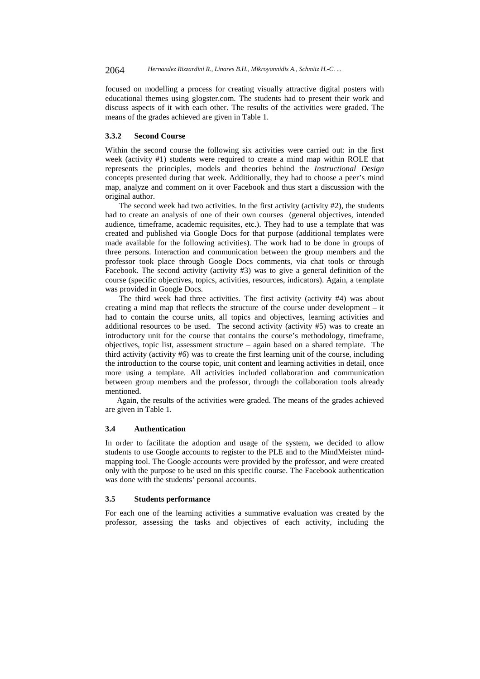focused on modelling a process for creating visually attractive digital posters with educational themes using glogster.com. The students had to present their work and discuss aspects of it with each other. The results of the activities were graded. The means of the grades achieved are given in Table 1.

#### **3.3.2 Second Course**

Within the second course the following six activities were carried out: in the first week (activity #1) students were required to create a mind map within ROLE that represents the principles, models and theories behind the *Instructional Design* concepts presented during that week. Additionally, they had to choose a peer's mind map, analyze and comment on it over Facebook and thus start a discussion with the original author.

The second week had two activities. In the first activity (activity  $#2$ ), the students had to create an analysis of one of their own courses (general objectives, intended audience, timeframe, academic requisites, etc.). They had to use a template that was created and published via Google Docs for that purpose (additional templates were made available for the following activities). The work had to be done in groups of three persons. Interaction and communication between the group members and the professor took place through Google Docs comments, via chat tools or through Facebook. The second activity (activity #3) was to give a general definition of the course (specific objectives, topics, activities, resources, indicators). Again, a template was provided in Google Docs.

The third week had three activities. The first activity (activity #4) was about creating a mind map that reflects the structure of the course under development – it had to contain the course units, all topics and objectives, learning activities and additional resources to be used. The second activity (activity #5) was to create an introductory unit for the course that contains the course's methodology, timeframe, objectives, topic list, assessment structure – again based on a shared template. The third activity (activity #6) was to create the first learning unit of the course, including the introduction to the course topic, unit content and learning activities in detail, once more using a template. All activities included collaboration and communication between group members and the professor, through the collaboration tools already mentioned.

Again, the results of the activities were graded. The means of the grades achieved are given in Table 1.

#### **3.4 Authentication**

In order to facilitate the adoption and usage of the system, we decided to allow students to use Google accounts to register to the PLE and to the MindMeister mindmapping tool. The Google accounts were provided by the professor, and were created only with the purpose to be used on this specific course. The Facebook authentication was done with the students' personal accounts.

#### **3.5 Students performance**

For each one of the learning activities a summative evaluation was created by the professor, assessing the tasks and objectives of each activity, including the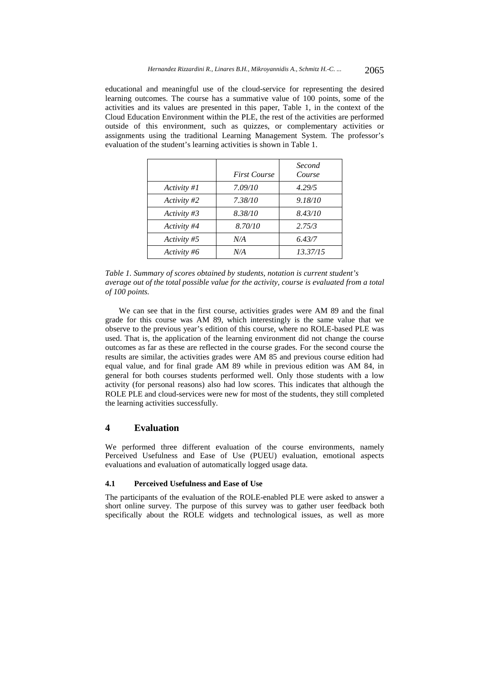educational and meaningful use of the cloud-service for representing the desired learning outcomes. The course has a summative value of 100 points, some of the activities and its values are presented in this paper, Table 1, in the context of the Cloud Education Environment within the PLE, the rest of the activities are performed outside of this environment, such as quizzes, or complementary activities or assignments using the traditional Learning Management System. The professor's evaluation of the student's learning activities is shown in Table 1.

|                | <b>First Course</b> | Second<br>Course |
|----------------|---------------------|------------------|
| Activity #1    | 7.09/10             | 4.29/5           |
| Activity #2    | 7.38/10             | 9.18/10          |
| Activity $\#3$ | 8.38/10             | 8.43/10          |
| Activity #4    | 8.70/10             | 2.75/3           |
| Activity #5    | N/A                 | 6.43/7           |
| Activity #6    | N/A                 | 13.37/15         |

*Table 1. Summary of scores obtained by students, notation is current student's average out of the total possible value for the activity, course is evaluated from a total of 100 points.* 

We can see that in the first course, activities grades were AM 89 and the final grade for this course was AM 89, which interestingly is the same value that we observe to the previous year's edition of this course, where no ROLE-based PLE was used. That is, the application of the learning environment did not change the course outcomes as far as these are reflected in the course grades. For the second course the results are similar, the activities grades were AM 85 and previous course edition had equal value, and for final grade AM 89 while in previous edition was AM 84, in general for both courses students performed well. Only those students with a low activity (for personal reasons) also had low scores. This indicates that although the ROLE PLE and cloud-services were new for most of the students, they still completed the learning activities successfully.

## **4 Evaluation**

We performed three different evaluation of the course environments, namely Perceived Usefulness and Ease of Use (PUEU) evaluation, emotional aspects evaluations and evaluation of automatically logged usage data.

#### **4.1 Perceived Usefulness and Ease of Use**

The participants of the evaluation of the ROLE-enabled PLE were asked to answer a short online survey. The purpose of this survey was to gather user feedback both specifically about the ROLE widgets and technological issues, as well as more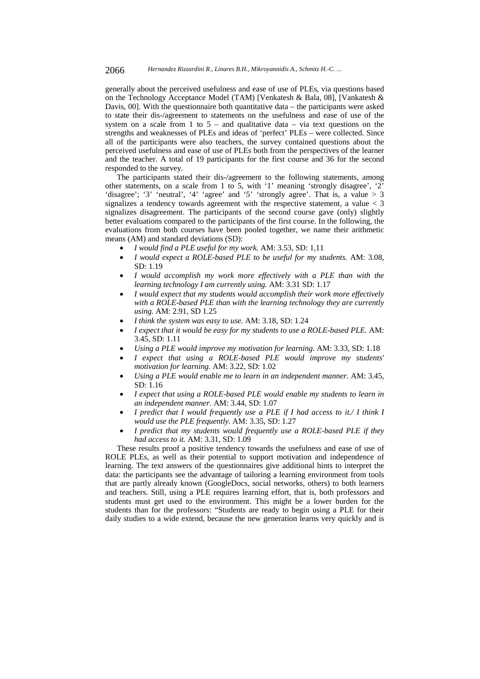generally about the perceived usefulness and ease of use of PLEs, via questions based on the Technology Acceptance Model (TAM) [Venkatesh & Bala, 08], [Vankatesh & Davis, 00]. With the questionnaire both quantitative data – the participants were asked to state their dis-/agreement to statements on the usefulness and ease of use of the system on a scale from 1 to  $5 -$  and qualitative data – via text questions on the strengths and weaknesses of PLEs and ideas of 'perfect' PLEs – were collected. Since all of the participants were also teachers, the survey contained questions about the perceived usefulness and ease of use of PLEs both from the perspectives of the learner and the teacher. A total of 19 participants for the first course and 36 for the second responded to the survey.

The participants stated their dis-/agreement to the following statements, among other statements, on a scale from 1 to 5, with '1' meaning 'strongly disagree', '2' 'disagree'; '3' 'neutral', '4' 'agree' and '5' 'strongly agree'. That is, a value  $> 3$ signalizes a tendency towards agreement with the respective statement, a value  $<$  3 signalizes disagreement. The participants of the second course gave (only) slightly better evaluations compared to the participants of the first course. In the following, the evaluations from both courses have been pooled together, we name their arithmetic means (AM) and standard deviations (SD):

- *I would find a PLE useful for my work.* AM: 3.53, SD: 1,11
- *I would expect a ROLE-based PLE to be useful for my students.* AM: 3.08, SD: 1.19
- *I would accomplish my work more effectively with a PLE than with the learning technology I am currently using.* AM: 3.31 SD: 1.17
- *I would expect that my students would accomplish their work more effectively with a ROLE-based PLE than with the learning technology they are currently using.* AM: 2.91, SD 1.25
- *I think the system was easy to use.* AM: 3.18, SD: 1.24
- *I expect that it would be easy for my students to use a ROLE-based PLE.* AM: 3.45, SD: 1.11
- *Using a PLE would improve my motivation for learning.* AM: 3.33, SD: 1.18
- *I expect that using a ROLE-based PLE would improve my students' motivation for learning.* AM: 3.22, SD: 1.02
- *Using a PLE would enable me to learn in an independent manner.* AM: 3.45, SD: 1.16
- *I expect that using a ROLE-based PLE would enable my students to learn in an independent manner.* AM: 3.44, SD: 1.07
- *I predict that I would frequently use a PLE if I had access to it./ I think I would use the PLE frequently.* AM: 3.35, SD: 1.27
- *I predict that my students would frequently use a ROLE-based PLE if they had access to it.* AM: 3.31, SD: 1.09

These results proof a positive tendency towards the usefulness and ease of use of ROLE PLEs, as well as their potential to support motivation and independence of learning. The text answers of the questionnaires give additional hints to interpret the data: the participants see the advantage of tailoring a learning environment from tools that are partly already known (GoogleDocs, social networks, others) to both learners and teachers. Still, using a PLE requires learning effort, that is, both professors and students must get used to the environment. This might be a lower burden for the students than for the professors: "Students are ready to begin using a PLE for their daily studies to a wide extend, because the new generation learns very quickly and is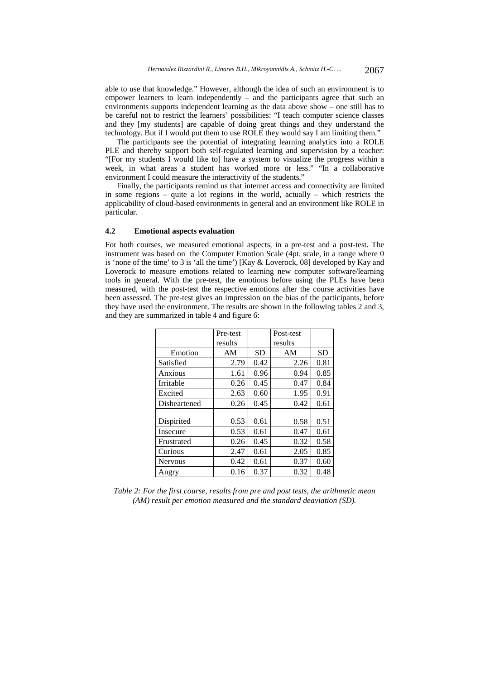able to use that knowledge." However, although the idea of such an environment is to empower learners to learn independently – and the participants agree that such an environments supports independent learning as the data above show – one still has to be careful not to restrict the learners' possibilities: "I teach computer science classes and they [my students] are capable of doing great things and they understand the technology. But if I would put them to use ROLE they would say I am limiting them."

The participants see the potential of integrating learning analytics into a ROLE PLE and thereby support both self-regulated learning and supervision by a teacher: "[For my students I would like to] have a system to visualize the progress within a week, in what areas a student has worked more or less." "In a collaborative environment I could measure the interactivity of the students."

Finally, the participants remind us that internet access and connectivity are limited in some regions – quite a lot regions in the world, actually – which restricts the applicability of cloud-based environments in general and an environment like ROLE in particular.

#### **4.2 Emotional aspects evaluation**

For both courses, we measured emotional aspects, in a pre-test and a post-test. The instrument was based on the Computer Emotion Scale (4pt. scale, in a range where 0 is 'none of the time' to 3 is 'all the time') [Kay & Loverock, 08] developed by Kay and Loverock to measure emotions related to learning new computer software/learning tools in general. With the pre-test, the emotions before using the PLEs have been measured, with the post-test the respective emotions after the course activities have been assessed. The pre-test gives an impression on the bias of the participants, before they have used the environment. The results are shown in the following tables 2 and 3, and they are summarized in table 4 and figure 6:

|                | Pre-test |           | Post-test |           |
|----------------|----------|-----------|-----------|-----------|
|                | results  |           | results   |           |
| Emotion        | AM       | <b>SD</b> | AM        | <b>SD</b> |
| Satisfied      | 2.79     | 0.42      | 2.26      | 0.81      |
| Anxious        | 1.61     | 0.96      | 0.94      | 0.85      |
| Irritable      | 0.26     | 0.45      | 0.47      | 0.84      |
| Excited        | 2.63     | 0.60      | 1.95      | 0.91      |
| Disheartened   | 0.26     | 0.45      | 0.42      | 0.61      |
|                |          |           |           |           |
| Dispirited     | 0.53     | 0.61      | 0.58      | 0.51      |
| Insecure       | 0.53     | 0.61      | 0.47      | 0.61      |
| Frustrated     | 0.26     | 0.45      | 0.32      | 0.58      |
| Curious        | 2.47     | 0.61      | 2.05      | 0.85      |
| <b>Nervous</b> | 0.42     | 0.61      | 0.37      | 0.60      |
| Angry          | 0.16     | 0.37      | 0.32      | 0.48      |

*Table 2: For the first course, results from pre and post tests, the arithmetic mean (AM) result per emotion measured and the standard deaviation (SD).*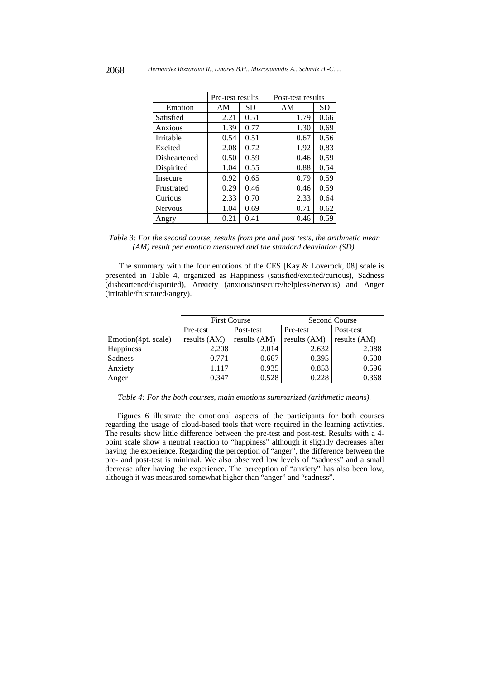|                | Pre-test results |           | Post-test results |           |
|----------------|------------------|-----------|-------------------|-----------|
| Emotion        | AM               | <b>SD</b> | AM                | <b>SD</b> |
| Satisfied      | 2.21             | 0.51      | 1.79              | 0.66      |
| Anxious        | 1.39             | 0.77      | 1.30              | 0.69      |
| Irritable      | 0.54             | 0.51      | 0.67              | 0.56      |
| Excited        | 2.08             | 0.72      | 1.92              | 0.83      |
| Disheartened   | 0.50             | 0.59      | 0.46              | 0.59      |
| Dispirited     | 1.04             | 0.55      | 0.88              | 0.54      |
| Insecure       | 0.92             | 0.65      | 0.79              | 0.59      |
| Frustrated     | 0.29             | 0.46      | 0.46              | 0.59      |
| Curious        | 2.33             | 0.70      | 2.33              | 0.64      |
| <b>Nervous</b> | 1.04             | 0.69      | 0.71              | 0.62      |
| Angry          | 0.21             | 0.41      | 0.46              | 0.59      |

*Table 3: For the second course, results from pre and post tests, the arithmetic mean (AM) result per emotion measured and the standard deaviation (SD).*

The summary with the four emotions of the CES [Kay  $\&$  Loverock, 08] scale is presented in Table 4, organized as Happiness (satisfied/excited/curious), Sadness (disheartened/dispirited), Anxiety (anxious/insecure/helpless/nervous) and Anger (irritable/frustrated/angry).

|                     | <b>First Course</b> |              | Second Course |              |
|---------------------|---------------------|--------------|---------------|--------------|
|                     | Pre-test            | Post-test    | Pre-test      | Post-test    |
| Emotion(4pt. scale) | results (AM)        | results (AM) | results (AM)  | results (AM) |
| Happiness           | 2.208               | 2.014        | 2.632         | 2.088        |
| Sadness             | 0.771               | 0.667        | 0.395         | 0.500        |
| Anxiety             | 1.117               | 0.935        | 0.853         | 0.596        |
| Anger               | 0.347               | 0.528        | 0.228         | 0.368        |

*Table 4: For the both courses, main emotions summarized (arithmetic means).* 

Figures 6 illustrate the emotional aspects of the participants for both courses regarding the usage of cloud-based tools that were required in the learning activities. The results show little difference between the pre-test and post-test. Results with a 4 point scale show a neutral reaction to "happiness" although it slightly decreases after having the experience. Regarding the perception of "anger", the difference between the pre- and post-test is minimal. We also observed low levels of "sadness" and a small decrease after having the experience. The perception of "anxiety" has also been low, although it was measured somewhat higher than "anger" and "sadness".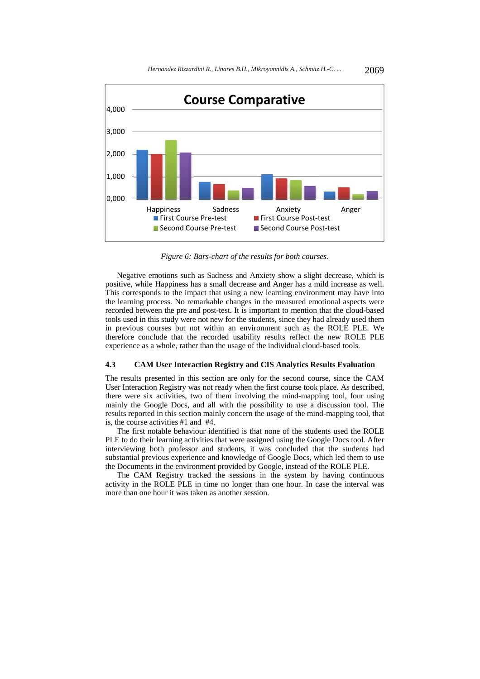

*Figure 6: Bars-chart of the results for both courses.* 

Negative emotions such as Sadness and Anxiety show a slight decrease, which is positive, while Happiness has a small decrease and Anger has a mild increase as well. This corresponds to the impact that using a new learning environment may have into the learning process. No remarkable changes in the measured emotional aspects were recorded between the pre and post-test. It is important to mention that the cloud-based tools used in this study were not new for the students, since they had already used them in previous courses but not within an environment such as the ROLE PLE. We therefore conclude that the recorded usability results reflect the new ROLE PLE experience as a whole, rather than the usage of the individual cloud-based tools.

#### **4.3 CAM User Interaction Registry and CIS Analytics Results Evaluation**

The results presented in this section are only for the second course, since the CAM User Interaction Registry was not ready when the first course took place. As described, there were six activities, two of them involving the mind-mapping tool, four using mainly the Google Docs, and all with the possibility to use a discussion tool. The results reported in this section mainly concern the usage of the mind-mapping tool, that is, the course activities #1 and #4.

The first notable behaviour identified is that none of the students used the ROLE PLE to do their learning activities that were assigned using the Google Docs tool. After interviewing both professor and students, it was concluded that the students had substantial previous experience and knowledge of Google Docs, which led them to use the Documents in the environment provided by Google, instead of the ROLE PLE.

The CAM Registry tracked the sessions in the system by having continuous activity in the ROLE PLE in time no longer than one hour. In case the interval was more than one hour it was taken as another session.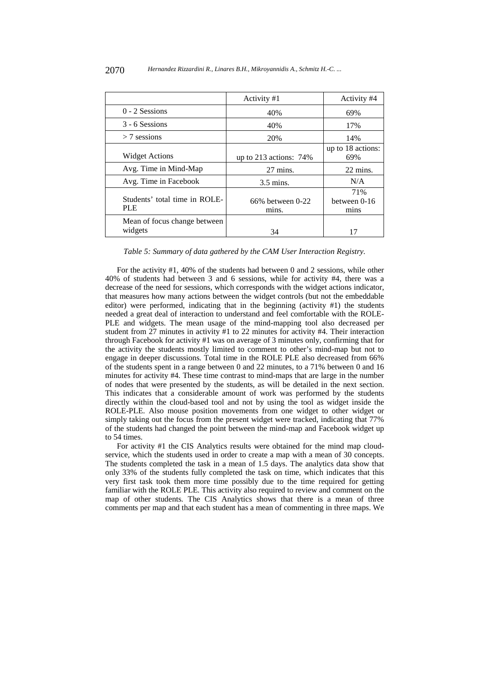|                                             | Activity #1               | Activity #4                 |
|---------------------------------------------|---------------------------|-----------------------------|
| $0 - 2$ Sessions                            | 40%                       | 69%                         |
| 3 - 6 Sessions                              | 40%                       | 17%                         |
| $>$ 7 sessions                              | 20%                       | 14%                         |
| <b>Widget Actions</b>                       | up to 213 actions: $74\%$ | up to 18 actions:<br>69%    |
| Avg. Time in Mind-Map                       | 27 mins.                  | 22 mins.                    |
| Avg. Time in Facebook                       | $3.5$ mins.               | N/A                         |
| Students' total time in ROLE-<br><b>PLE</b> | 66% between 0-22<br>mins. | 71%<br>between 0-16<br>mins |
| Mean of focus change between<br>widgets     | 34                        | 17                          |

*Table 5: Summary of data gathered by the CAM User Interaction Registry.* 

For the activity #1, 40% of the students had between 0 and 2 sessions, while other 40% of students had between 3 and 6 sessions, while for activity #4, there was a decrease of the need for sessions, which corresponds with the widget actions indicator, that measures how many actions between the widget controls (but not the embeddable editor) were performed, indicating that in the beginning (activity #1) the students needed a great deal of interaction to understand and feel comfortable with the ROLE-PLE and widgets. The mean usage of the mind-mapping tool also decreased per student from 27 minutes in activity #1 to 22 minutes for activity #4. Their interaction through Facebook for activity #1 was on average of 3 minutes only, confirming that for the activity the students mostly limited to comment to other's mind-map but not to engage in deeper discussions. Total time in the ROLE PLE also decreased from 66% of the students spent in a range between 0 and 22 minutes, to a 71% between 0 and 16 minutes for activity #4. These time contrast to mind-maps that are large in the number of nodes that were presented by the students, as will be detailed in the next section. This indicates that a considerable amount of work was performed by the students directly within the cloud-based tool and not by using the tool as widget inside the ROLE-PLE. Also mouse position movements from one widget to other widget or simply taking out the focus from the present widget were tracked, indicating that 77% of the students had changed the point between the mind-map and Facebook widget up to 54 times.

For activity #1 the CIS Analytics results were obtained for the mind map cloudservice, which the students used in order to create a map with a mean of 30 concepts. The students completed the task in a mean of 1.5 days. The analytics data show that only 33% of the students fully completed the task on time, which indicates that this very first task took them more time possibly due to the time required for getting familiar with the ROLE PLE. This activity also required to review and comment on the map of other students. The CIS Analytics shows that there is a mean of three comments per map and that each student has a mean of commenting in three maps. We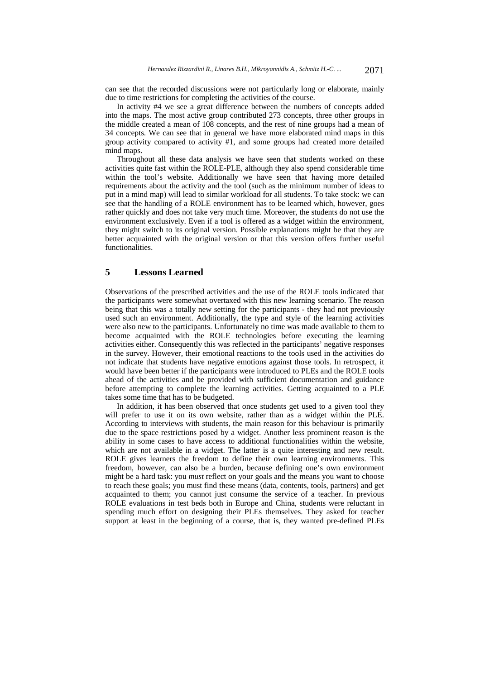can see that the recorded discussions were not particularly long or elaborate, mainly due to time restrictions for completing the activities of the course.

In activity #4 we see a great difference between the numbers of concepts added into the maps. The most active group contributed 273 concepts, three other groups in the middle created a mean of 108 concepts, and the rest of nine groups had a mean of 34 concepts. We can see that in general we have more elaborated mind maps in this group activity compared to activity #1, and some groups had created more detailed mind maps.

Throughout all these data analysis we have seen that students worked on these activities quite fast within the ROLE-PLE, although they also spend considerable time within the tool's website. Additionally we have seen that having more detailed requirements about the activity and the tool (such as the minimum number of ideas to put in a mind map) will lead to similar workload for all students. To take stock: we can see that the handling of a ROLE environment has to be learned which, however, goes rather quickly and does not take very much time. Moreover, the students do not use the environment exclusively. Even if a tool is offered as a widget within the environment, they might switch to its original version. Possible explanations might be that they are better acquainted with the original version or that this version offers further useful functionalities.

# **5 Lessons Learned**

Observations of the prescribed activities and the use of the ROLE tools indicated that the participants were somewhat overtaxed with this new learning scenario. The reason being that this was a totally new setting for the participants - they had not previously used such an environment. Additionally, the type and style of the learning activities were also new to the participants. Unfortunately no time was made available to them to become acquainted with the ROLE technologies before executing the learning activities either. Consequently this was reflected in the participants' negative responses in the survey. However, their emotional reactions to the tools used in the activities do not indicate that students have negative emotions against those tools. In retrospect, it would have been better if the participants were introduced to PLEs and the ROLE tools ahead of the activities and be provided with sufficient documentation and guidance before attempting to complete the learning activities. Getting acquainted to a PLE takes some time that has to be budgeted.

In addition, it has been observed that once students get used to a given tool they will prefer to use it on its own website, rather than as a widget within the PLE. According to interviews with students, the main reason for this behaviour is primarily due to the space restrictions posed by a widget. Another less prominent reason is the ability in some cases to have access to additional functionalities within the website, which are not available in a widget. The latter is a quite interesting and new result. ROLE gives learners the freedom to define their own learning environments. This freedom, however, can also be a burden, because defining one's own environment might be a hard task: you *must* reflect on your goals and the means you want to choose to reach these goals; you must find these means (data, contents, tools, partners) and get acquainted to them; you cannot just consume the service of a teacher. In previous ROLE evaluations in test beds both in Europe and China, students were reluctant in spending much effort on designing their PLEs themselves. They asked for teacher support at least in the beginning of a course, that is, they wanted pre-defined PLEs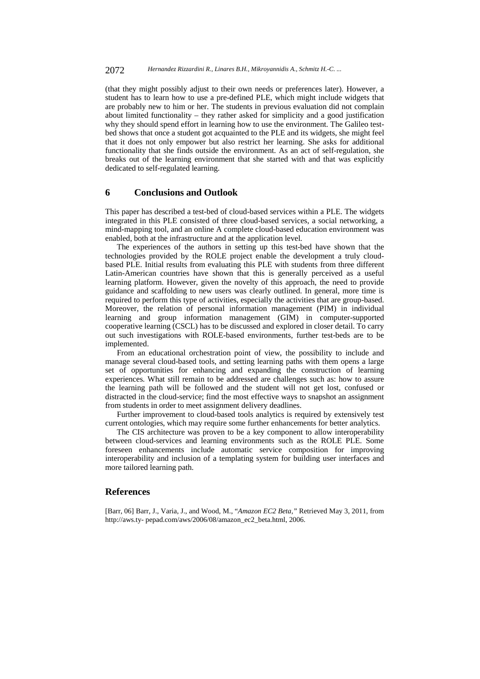(that they might possibly adjust to their own needs or preferences later). However, a student has to learn how to use a pre-defined PLE, which might include widgets that are probably new to him or her. The students in previous evaluation did not complain about limited functionality – they rather asked for simplicity and a good justification why they should spend effort in learning how to use the environment. The Galileo testbed shows that once a student got acquainted to the PLE and its widgets, she might feel that it does not only empower but also restrict her learning. She asks for additional functionality that she finds outside the environment. As an act of self-regulation, she breaks out of the learning environment that she started with and that was explicitly dedicated to self-regulated learning.

### **6 Conclusions and Outlook**

This paper has described a test-bed of cloud-based services within a PLE. The widgets integrated in this PLE consisted of three cloud-based services, a social networking, a mind-mapping tool, and an online A complete cloud-based education environment was enabled, both at the infrastructure and at the application level.

The experiences of the authors in setting up this test-bed have shown that the technologies provided by the ROLE project enable the development a truly cloudbased PLE. Initial results from evaluating this PLE with students from three different Latin-American countries have shown that this is generally perceived as a useful learning platform. However, given the novelty of this approach, the need to provide guidance and scaffolding to new users was clearly outlined. In general, more time is required to perform this type of activities, especially the activities that are group-based. Moreover, the relation of personal information management (PIM) in individual learning and group information management (GIM) in computer-supported cooperative learning (CSCL) has to be discussed and explored in closer detail. To carry out such investigations with ROLE-based environments, further test-beds are to be implemented.

From an educational orchestration point of view, the possibility to include and manage several cloud-based tools, and setting learning paths with them opens a large set of opportunities for enhancing and expanding the construction of learning experiences. What still remain to be addressed are challenges such as: how to assure the learning path will be followed and the student will not get lost, confused or distracted in the cloud-service; find the most effective ways to snapshot an assignment from students in order to meet assignment delivery deadlines.

Further improvement to cloud-based tools analytics is required by extensively test current ontologies, which may require some further enhancements for better analytics.

The CIS architecture was proven to be a key component to allow interoperability between cloud-services and learning environments such as the ROLE PLE. Some foreseen enhancements include automatic service composition for improving interoperability and inclusion of a templating system for building user interfaces and more tailored learning path.

### **References**

[Barr, 06] Barr, J., Varia, J., and Wood, M., "*Amazon EC2 Beta,"* Retrieved May 3, 2011, from http://aws.ty- pepad.com/aws/2006/08/amazon\_ec2\_beta.html, 2006.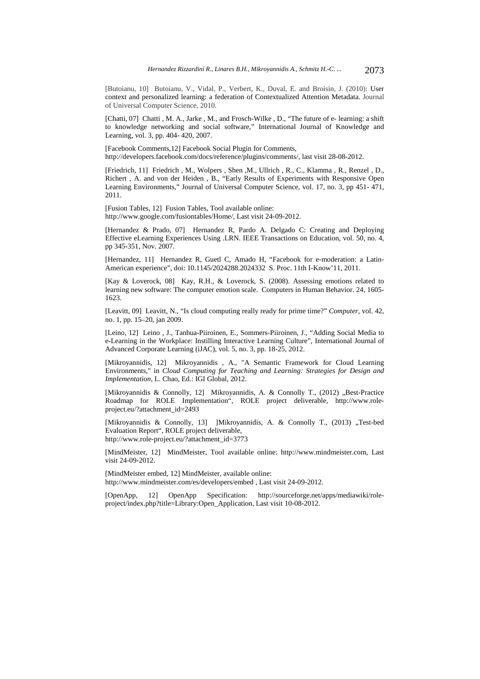[Butoianu, 10] Butoianu, V., Vidal, P., Verbert, K., Duval, E. and Broisin, J. (2010): User context and personalized learning: a federation of Contextualized Attention Metadata. Journal of Universal Computer Science, 2010.

[Chatti, 07] Chatti, M. A., Jarke, M., and Frosch-Wilke, D., "The future of e- learning: a shift to knowledge networking and social software," International Journal of Knowledge and Learning, vol. 3, pp. 404- 420, 2007.

[Facebook Comments,12] Facebook Social Plugin for Comments, http://developers.facebook.com/docs/reference/plugins/comments/, last visit 28-08-2012.

[Friedrich, 11] Friedrich , M., Wolpers , Shen ,M., Ullrich , R., C., Klamma , R., Renzel , D., Richert , A. and von der Heiden , B., "Early Results of Experiments with Responsive Open Learning Environments," Journal of Universal Computer Science, vol. 17, no. 3, pp 451- 471, 2011.

[Fusion Tables, 12] Fusion Tables, Tool available online: http://www.google.com/fusiontables/Home/, Last visit 24-09-2012.

[Hernandez & Prado, 07] Hernandez R, Pardo A. Delgado C: Creating and Deploying Effective eLearning Experiences Using .LRN. IEEE Transactions on Education, vol. 50, no. 4, pp 345-351, Nov. 2007.

[Hernandez, 11] Hernandez R, Guetl C, Amado H, "Facebook for e-moderation: a Latin-American experience", doi: 10.1145/2024288.2024332 S. Proc. 11th I-Know'11, 2011.

[Kay & Loverock, 08] Kay, R.H., & Loverock, S. (2008). Assessing emotions related to learning new software: The computer emotion scale. Computers in Human Behavior. 24, 1605- 1623.

[Leavitt, 09] Leavitt, N., "Is cloud computing really ready for prime time?" *Computer*, vol. 42, no. 1, pp. 15–20, jan 2009.

[Leino, 12] Leino , J., Tanhua-Piiroinen, E., Sommers-Piiroinen, J., "Adding Social Media to e-Learning in the Workplace: Instilling Interactive Learning Culture", International Journal of Advanced Corporate Learning (iJAC), vol. 5, no. 3, pp. 18-25, 2012.

[Mikroyannidis, 12] Mikroyannidis , A., "A Semantic Framework for Cloud Learning Environments," in *Cloud Computing for Teaching and Learning: Strategies for Design and Implementation*, L. Chao, Ed.: IGI Global, 2012.

[Mikroyannidis & Connolly, 12] Mikroyannidis, A. & Connolly T., (2012) "Best-Practice Roadmap for ROLE Implementation", ROLE project deliverable, http://www.roleproject.eu/?attachment\_id=2493

[Mikroyannidis & Connolly, 13] [Mikroyannidis, A. & Connolly T., (2013) "Test-bed Evaluation Report", ROLE project deliverable, http://www.role-project.eu/?attachment\_id=3773

[MindMeister, 12] MindMeister, Tool available online: http://www.mindmeister.com, Last visit 24-09-2012.

[MindMeister embed, 12] MindMeister, available online: http://www.mindmeister.com/es/developers/embed , Last visit 24-09-2012.

[OpenApp, 12] OpenApp Specification: http://sourceforge.net/apps/mediawiki/roleproject/index.php?title=Library:Open\_Application, Last visit 10-08-2012.